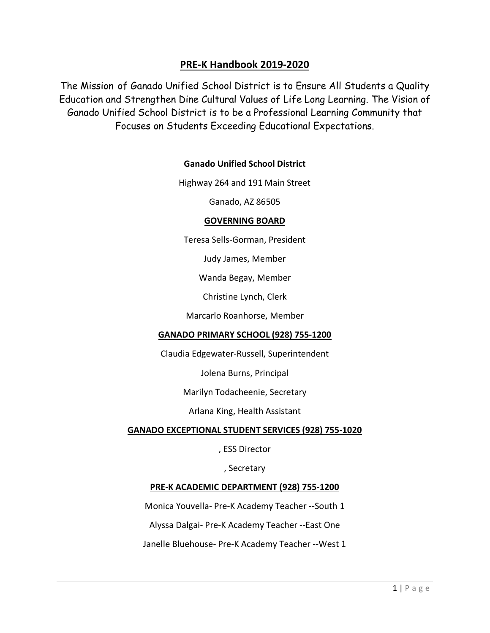### **PRE-K Handbook 2019-2020**

The Mission of Ganado Unified School District is to Ensure All Students a Quality Education and Strengthen Dine Cultural Values of Life Long Learning. The Vision of Ganado Unified School District is to be a Professional Learning Community that Focuses on Students Exceeding Educational Expectations.

#### **Ganado Unified School District**

Highway 264 and 191 Main Street

Ganado, AZ 86505

#### **GOVERNING BOARD**

Teresa Sells-Gorman, President

Judy James, Member

Wanda Begay, Member

Christine Lynch, Clerk

Marcarlo Roanhorse, Member

#### **GANADO PRIMARY SCHOOL (928) 755-1200**

Claudia Edgewater-Russell, Superintendent

Jolena Burns, Principal

Marilyn Todacheenie, Secretary

Arlana King, Health Assistant

#### **GANADO EXCEPTIONAL STUDENT SERVICES (928) 755-1020**

, ESS Director

, Secretary

#### **PRE-K ACADEMIC DEPARTMENT (928) 755-1200**

Monica Youvella- Pre-K Academy Teacher --South 1

Alyssa Dalgai- Pre-K Academy Teacher --East One

Janelle Bluehouse- Pre-K Academy Teacher --West 1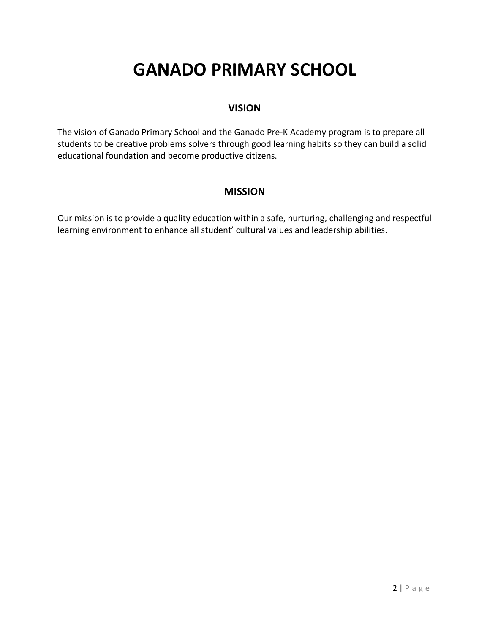# **GANADO PRIMARY SCHOOL**

#### **VISION**

The vision of Ganado Primary School and the Ganado Pre-K Academy program is to prepare all students to be creative problems solvers through good learning habits so they can build a solid educational foundation and become productive citizens.

#### **MISSION**

Our mission is to provide a quality education within a safe, nurturing, challenging and respectful learning environment to enhance all student' cultural values and leadership abilities.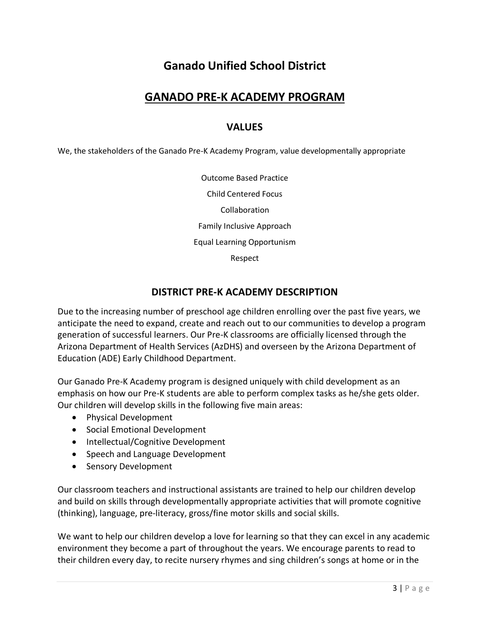# **Ganado Unified School District**

### **GANADO PRE-K ACADEMY PROGRAM**

#### **VALUES**

We, the stakeholders of the Ganado Pre-K Academy Program, value developmentally appropriate

Outcome Based Practice Child Centered Focus Collaboration Family Inclusive Approach Equal Learning Opportunism Respect

#### **DISTRICT PRE-K ACADEMY DESCRIPTION**

Due to the increasing number of preschool age children enrolling over the past five years, we anticipate the need to expand, create and reach out to our communities to develop a program generation of successful learners. Our Pre-K classrooms are officially licensed through the Arizona Department of Health Services (AzDHS) and overseen by the Arizona Department of Education (ADE) Early Childhood Department.

Our Ganado Pre-K Academy program is designed uniquely with child development as an emphasis on how our Pre-K students are able to perform complex tasks as he/she gets older. Our children will develop skills in the following five main areas:

- Physical Development
- Social Emotional Development
- Intellectual/Cognitive Development
- Speech and Language Development
- Sensory Development

Our classroom teachers and instructional assistants are trained to help our children develop and build on skills through developmentally appropriate activities that will promote cognitive (thinking), language, pre-literacy, gross/fine motor skills and social skills.

We want to help our children develop a love for learning so that they can excel in any academic environment they become a part of throughout the years. We encourage parents to read to their children every day, to recite nursery rhymes and sing children's songs at home or in the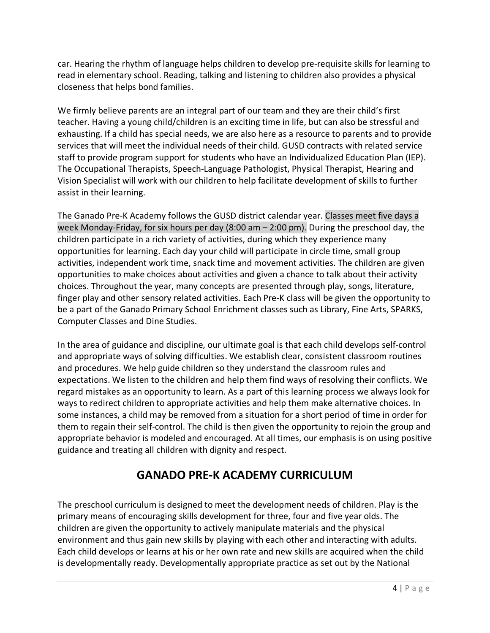car. Hearing the rhythm of language helps children to develop pre-requisite skills for learning to read in elementary school. Reading, talking and listening to children also provides a physical closeness that helps bond families.

We firmly believe parents are an integral part of our team and they are their child's first teacher. Having a young child/children is an exciting time in life, but can also be stressful and exhausting. If a child has special needs, we are also here as a resource to parents and to provide services that will meet the individual needs of their child. GUSD contracts with related service staff to provide program support for students who have an Individualized Education Plan (IEP). The Occupational Therapists, Speech-Language Pathologist, Physical Therapist, Hearing and Vision Specialist will work with our children to help facilitate development of skills to further assist in their learning.

The Ganado Pre-K Academy follows the GUSD district calendar year. Classes meet five days a week Monday-Friday, for six hours per day (8:00 am – 2:00 pm). During the preschool day, the children participate in a rich variety of activities, during which they experience many opportunities for learning. Each day your child will participate in circle time, small group activities, independent work time, snack time and movement activities. The children are given opportunities to make choices about activities and given a chance to talk about their activity choices. Throughout the year, many concepts are presented through play, songs, literature, finger play and other sensory related activities. Each Pre-K class will be given the opportunity to be a part of the Ganado Primary School Enrichment classes such as Library, Fine Arts, SPARKS, Computer Classes and Dine Studies.

In the area of guidance and discipline, our ultimate goal is that each child develops self-control and appropriate ways of solving difficulties. We establish clear, consistent classroom routines and procedures. We help guide children so they understand the classroom rules and expectations. We listen to the children and help them find ways of resolving their conflicts. We regard mistakes as an opportunity to learn. As a part of this learning process we always look for ways to redirect children to appropriate activities and help them make alternative choices. In some instances, a child may be removed from a situation for a short period of time in order for them to regain their self-control. The child is then given the opportunity to rejoin the group and appropriate behavior is modeled and encouraged. At all times, our emphasis is on using positive guidance and treating all children with dignity and respect.

# **GANADO PRE-K ACADEMY CURRICULUM**

The preschool curriculum is designed to meet the development needs of children. Play is the primary means of encouraging skills development for three, four and five year olds. The children are given the opportunity to actively manipulate materials and the physical environment and thus gain new skills by playing with each other and interacting with adults. Each child develops or learns at his or her own rate and new skills are acquired when the child is developmentally ready. Developmentally appropriate practice as set out by the National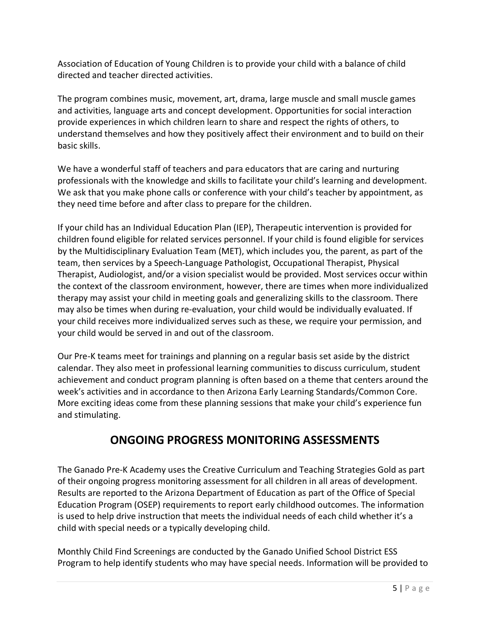Association of Education of Young Children is to provide your child with a balance of child directed and teacher directed activities.

The program combines music, movement, art, drama, large muscle and small muscle games and activities, language arts and concept development. Opportunities for social interaction provide experiences in which children learn to share and respect the rights of others, to understand themselves and how they positively affect their environment and to build on their basic skills.

We have a wonderful staff of teachers and para educators that are caring and nurturing professionals with the knowledge and skills to facilitate your child's learning and development. We ask that you make phone calls or conference with your child's teacher by appointment, as they need time before and after class to prepare for the children.

If your child has an Individual Education Plan (IEP), Therapeutic intervention is provided for children found eligible for related services personnel. If your child is found eligible for services by the Multidisciplinary Evaluation Team (MET), which includes you, the parent, as part of the team, then services by a Speech-Language Pathologist, Occupational Therapist, Physical Therapist, Audiologist, and/or a vision specialist would be provided. Most services occur within the context of the classroom environment, however, there are times when more individualized therapy may assist your child in meeting goals and generalizing skills to the classroom. There may also be times when during re-evaluation, your child would be individually evaluated. If your child receives more individualized serves such as these, we require your permission, and your child would be served in and out of the classroom.

Our Pre-K teams meet for trainings and planning on a regular basis set aside by the district calendar. They also meet in professional learning communities to discuss curriculum, student achievement and conduct program planning is often based on a theme that centers around the week's activities and in accordance to then Arizona Early Learning Standards/Common Core. More exciting ideas come from these planning sessions that make your child's experience fun and stimulating.

# **ONGOING PROGRESS MONITORING ASSESSMENTS**

The Ganado Pre-K Academy uses the Creative Curriculum and Teaching Strategies Gold as part of their ongoing progress monitoring assessment for all children in all areas of development. Results are reported to the Arizona Department of Education as part of the Office of Special Education Program (OSEP) requirements to report early childhood outcomes. The information is used to help drive instruction that meets the individual needs of each child whether it's a child with special needs or a typically developing child.

Monthly Child Find Screenings are conducted by the Ganado Unified School District ESS Program to help identify students who may have special needs. Information will be provided to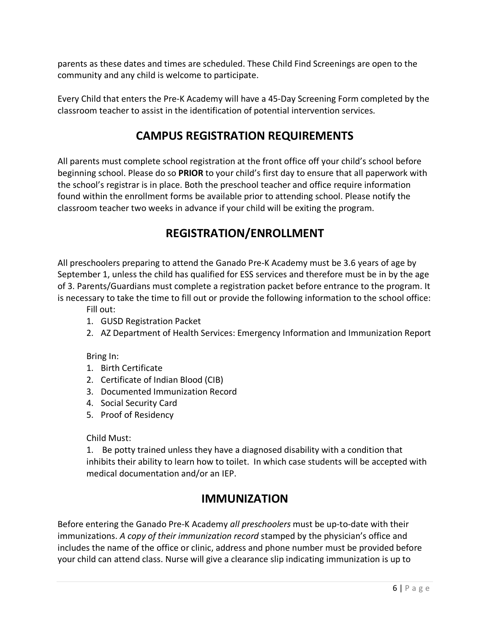parents as these dates and times are scheduled. These Child Find Screenings are open to the community and any child is welcome to participate.

Every Child that enters the Pre-K Academy will have a 45-Day Screening Form completed by the classroom teacher to assist in the identification of potential intervention services.

# **CAMPUS REGISTRATION REQUIREMENTS**

All parents must complete school registration at the front office off your child's school before beginning school. Please do so **PRIOR** to your child's first day to ensure that all paperwork with the school's registrar is in place. Both the preschool teacher and office require information found within the enrollment forms be available prior to attending school. Please notify the classroom teacher two weeks in advance if your child will be exiting the program.

# **REGISTRATION/ENROLLMENT**

All preschoolers preparing to attend the Ganado Pre-K Academy must be 3.6 years of age by September 1, unless the child has qualified for ESS services and therefore must be in by the age of 3. Parents/Guardians must complete a registration packet before entrance to the program. It is necessary to take the time to fill out or provide the following information to the school office:

Fill out:

- 1. GUSD Registration Packet
- 2. AZ Department of Health Services: Emergency Information and Immunization Report

Bring In:

- 1. Birth Certificate
- 2. Certificate of Indian Blood (CIB)
- 3. Documented Immunization Record
- 4. Social Security Card
- 5. Proof of Residency

#### Child Must:

1. Be potty trained unless they have a diagnosed disability with a condition that inhibits their ability to learn how to toilet. In which case students will be accepted with medical documentation and/or an IEP.

### **IMMUNIZATION**

Before entering the Ganado Pre-K Academy *all preschoolers* must be up-to-date with their immunizations. *A copy of their immunization record* stamped by the physician's office and includes the name of the office or clinic, address and phone number must be provided before your child can attend class. Nurse will give a clearance slip indicating immunization is up to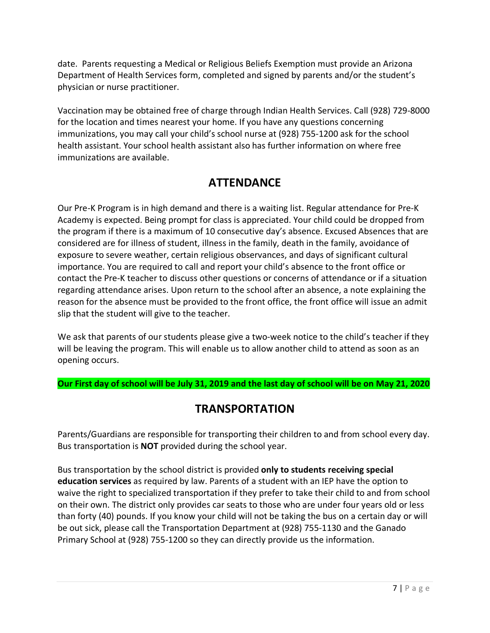date. Parents requesting a Medical or Religious Beliefs Exemption must provide an Arizona Department of Health Services form, completed and signed by parents and/or the student's physician or nurse practitioner.

Vaccination may be obtained free of charge through Indian Health Services. Call (928) 729-8000 for the location and times nearest your home. If you have any questions concerning immunizations, you may call your child's school nurse at (928) 755-1200 ask for the school health assistant. Your school health assistant also has further information on where free immunizations are available.

# **ATTENDANCE**

Our Pre-K Program is in high demand and there is a waiting list. Regular attendance for Pre-K Academy is expected. Being prompt for class is appreciated. Your child could be dropped from the program if there is a maximum of 10 consecutive day's absence. Excused Absences that are considered are for illness of student, illness in the family, death in the family, avoidance of exposure to severe weather, certain religious observances, and days of significant cultural importance. You are required to call and report your child's absence to the front office or contact the Pre-K teacher to discuss other questions or concerns of attendance or if a situation regarding attendance arises. Upon return to the school after an absence, a note explaining the reason for the absence must be provided to the front office, the front office will issue an admit slip that the student will give to the teacher.

We ask that parents of our students please give a two-week notice to the child's teacher if they will be leaving the program. This will enable us to allow another child to attend as soon as an opening occurs.

**Our First day of school will be July 31, 2019 and the last day of school will be on May 21, 2020**

### **TRANSPORTATION**

Parents/Guardians are responsible for transporting their children to and from school every day. Bus transportation is **NOT** provided during the school year.

Bus transportation by the school district is provided **only to students receiving special education services** as required by law. Parents of a student with an IEP have the option to waive the right to specialized transportation if they prefer to take their child to and from school on their own. The district only provides car seats to those who are under four years old or less than forty (40) pounds. If you know your child will not be taking the bus on a certain day or will be out sick, please call the Transportation Department at (928) 755-1130 and the Ganado Primary School at (928) 755-1200 so they can directly provide us the information.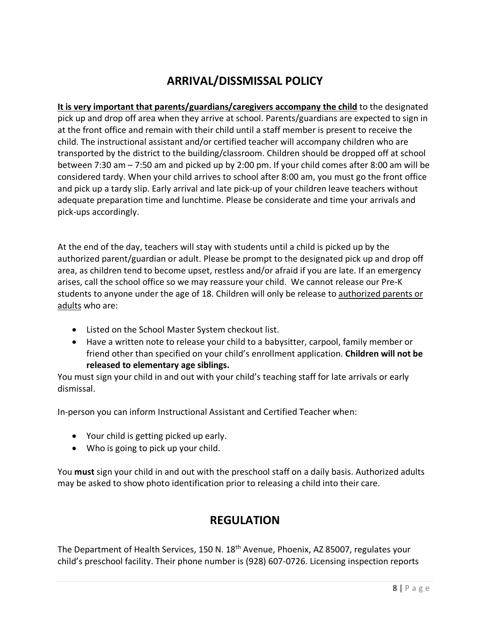# **ARRIVAL/DISSMISSAL POLICY**

**It is very important that parents/guardians/caregivers accompany the child** to the designated pick up and drop off area when they arrive at school. Parents/guardians are expected to sign in at the front office and remain with their child until a staff member is present to receive the child. The instructional assistant and/or certified teacher will accompany children who are transported by the district to the building/classroom. Children should be dropped off at school between 7:30 am – 7:50 am and picked up by 2:00 pm. If your child comes after 8:00 am will be considered tardy. When your child arrives to school after 8:00 am, you must go the front office and pick up a tardy slip. Early arrival and late pick-up of your children leave teachers without adequate preparation time and lunchtime. Please be considerate and time your arrivals and pick-ups accordingly.

At the end of the day, teachers will stay with students until a child is picked up by the authorized parent/guardian or adult. Please be prompt to the designated pick up and drop off area, as children tend to become upset, restless and/or afraid if you are late. If an emergency arises, call the school office so we may reassure your child. We cannot release our Pre-K students to anyone under the age of 18. Children will only be release to authorized parents or adults who are:

- Listed on the School Master System checkout list.
- Have a written note to release your child to a babysitter, carpool, family member or friend other than specified on your child's enrollment application. **Children will not be released to elementary age siblings.**

You must sign your child in and out with your child's teaching staff for late arrivals or early dismissal.

In-person you can inform Instructional Assistant and Certified Teacher when:

- Your child is getting picked up early.
- Who is going to pick up your child.

You **must** sign your child in and out with the preschool staff on a daily basis. Authorized adults may be asked to show photo identification prior to releasing a child into their care.

### **REGULATION**

The Department of Health Services, 150 N. 18<sup>th</sup> Avenue, Phoenix, AZ 85007, regulates your child's preschool facility. Their phone number is (928) 607-0726. Licensing inspection reports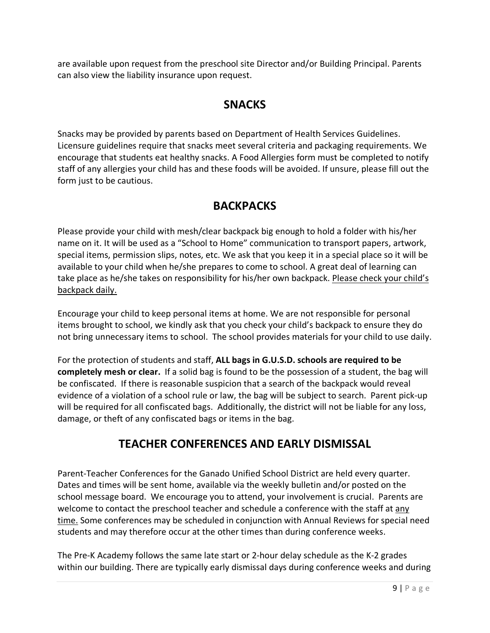are available upon request from the preschool site Director and/or Building Principal. Parents can also view the liability insurance upon request.

### **SNACKS**

Snacks may be provided by parents based on Department of Health Services Guidelines. Licensure guidelines require that snacks meet several criteria and packaging requirements. We encourage that students eat healthy snacks. A Food Allergies form must be completed to notify staff of any allergies your child has and these foods will be avoided. If unsure, please fill out the form just to be cautious.

### **BACKPACKS**

Please provide your child with mesh/clear backpack big enough to hold a folder with his/her name on it. It will be used as a "School to Home" communication to transport papers, artwork, special items, permission slips, notes, etc. We ask that you keep it in a special place so it will be available to your child when he/she prepares to come to school. A great deal of learning can take place as he/she takes on responsibility for his/her own backpack. Please check your child's backpack daily.

Encourage your child to keep personal items at home. We are not responsible for personal items brought to school, we kindly ask that you check your child's backpack to ensure they do not bring unnecessary items to school. The school provides materials for your child to use daily.

For the protection of students and staff, **ALL bags in G.U.S.D. schools are required to be completely mesh or clear.** If a solid bag is found to be the possession of a student, the bag will be confiscated. If there is reasonable suspicion that a search of the backpack would reveal evidence of a violation of a school rule or law, the bag will be subject to search. Parent pick-up will be required for all confiscated bags. Additionally, the district will not be liable for any loss, damage, or theft of any confiscated bags or items in the bag.

# **TEACHER CONFERENCES AND EARLY DISMISSAL**

Parent-Teacher Conferences for the Ganado Unified School District are held every quarter. Dates and times will be sent home, available via the weekly bulletin and/or posted on the school message board. We encourage you to attend, your involvement is crucial. Parents are welcome to contact the preschool teacher and schedule a conference with the staff at any time. Some conferences may be scheduled in conjunction with Annual Reviews for special need students and may therefore occur at the other times than during conference weeks.

The Pre-K Academy follows the same late start or 2-hour delay schedule as the K-2 grades within our building. There are typically early dismissal days during conference weeks and during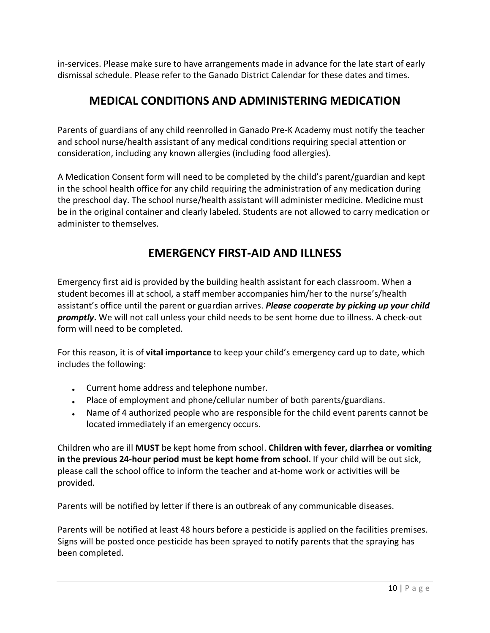in-services. Please make sure to have arrangements made in advance for the late start of early dismissal schedule. Please refer to the Ganado District Calendar for these dates and times.

### **MEDICAL CONDITIONS AND ADMINISTERING MEDICATION**

Parents of guardians of any child reenrolled in Ganado Pre-K Academy must notify the teacher and school nurse/health assistant of any medical conditions requiring special attention or consideration, including any known allergies (including food allergies).

A Medication Consent form will need to be completed by the child's parent/guardian and kept in the school health office for any child requiring the administration of any medication during the preschool day. The school nurse/health assistant will administer medicine. Medicine must be in the original container and clearly labeled. Students are not allowed to carry medication or administer to themselves.

# **EMERGENCY FIRST-AID AND ILLNESS**

Emergency first aid is provided by the building health assistant for each classroom. When a student becomes ill at school, a staff member accompanies him/her to the nurse's/health assistant's office until the parent or guardian arrives. *Please cooperate by picking up your child promptly***.** We will not call unless your child needs to be sent home due to illness. A check-out form will need to be completed.

For this reason, it is of **vital importance** to keep your child's emergency card up to date, which includes the following:

- Current home address and telephone number.
- Place of employment and phone/cellular number of both parents/guardians.
- Name of 4 authorized people who are responsible for the child event parents cannot be located immediately if an emergency occurs.

Children who are ill **MUST** be kept home from school. **Children with fever, diarrhea or vomiting in the previous 24-hour period must be kept home from school.** If your child will be out sick, please call the school office to inform the teacher and at-home work or activities will be provided.

Parents will be notified by letter if there is an outbreak of any communicable diseases.

Parents will be notified at least 48 hours before a pesticide is applied on the facilities premises. Signs will be posted once pesticide has been sprayed to notify parents that the spraying has been completed.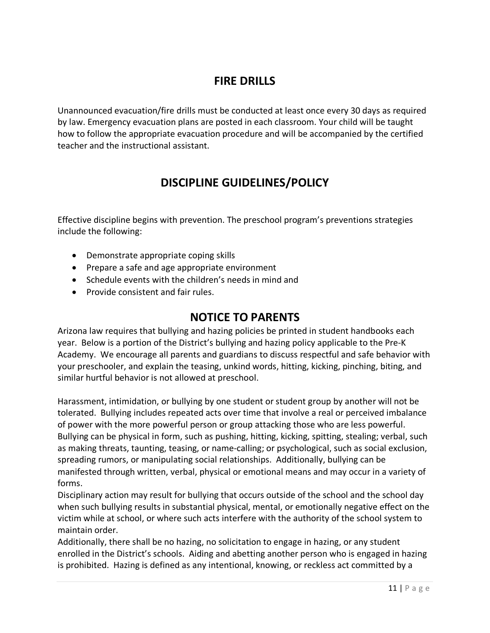### **FIRE DRILLS**

Unannounced evacuation/fire drills must be conducted at least once every 30 days as required by law. Emergency evacuation plans are posted in each classroom. Your child will be taught how to follow the appropriate evacuation procedure and will be accompanied by the certified teacher and the instructional assistant.

# **DISCIPLINE GUIDELINES/POLICY**

Effective discipline begins with prevention. The preschool program's preventions strategies include the following:

- Demonstrate appropriate coping skills
- Prepare a safe and age appropriate environment
- Schedule events with the children's needs in mind and
- Provide consistent and fair rules.

### **NOTICE TO PARENTS**

Arizona law requires that bullying and hazing policies be printed in student handbooks each year. Below is a portion of the District's bullying and hazing policy applicable to the Pre-K Academy. We encourage all parents and guardians to discuss respectful and safe behavior with your preschooler, and explain the teasing, unkind words, hitting, kicking, pinching, biting, and similar hurtful behavior is not allowed at preschool.

Harassment, intimidation, or bullying by one student or student group by another will not be tolerated. Bullying includes repeated acts over time that involve a real or perceived imbalance of power with the more powerful person or group attacking those who are less powerful. Bullying can be physical in form, such as pushing, hitting, kicking, spitting, stealing; verbal, such as making threats, taunting, teasing, or name-calling; or psychological, such as social exclusion, spreading rumors, or manipulating social relationships. Additionally, bullying can be manifested through written, verbal, physical or emotional means and may occur in a variety of forms.

Disciplinary action may result for bullying that occurs outside of the school and the school day when such bullying results in substantial physical, mental, or emotionally negative effect on the victim while at school, or where such acts interfere with the authority of the school system to maintain order.

Additionally, there shall be no hazing, no solicitation to engage in hazing, or any student enrolled in the District's schools. Aiding and abetting another person who is engaged in hazing is prohibited. Hazing is defined as any intentional, knowing, or reckless act committed by a